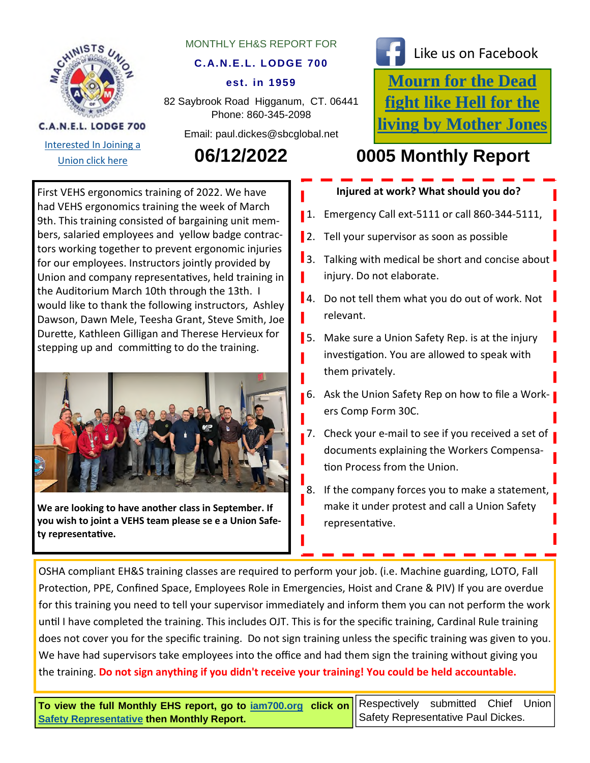

Interested In Joining a

C.A.N.E.L. LODGE 700

### MONTHLY EH&S REPORT FOR

## **C.A.N.E.L. LODGE 700**

### **est. in 1959**

82 Saybrook Road Higganum, CT. 06441 Phone: 860-345-2098

Email: paul.dickes@sbcglobal.net

Like us on Facebook

**Mourn for the Dead fight like Hell for the living by Mother Jones**

# Union click here **06/12/2022 0005 Monthly Report**

First VEHS ergonomics training of 2022. We have had VEHS ergonomics training the week of March 9th. This training consisted of bargaining unit members, salaried employees and yellow badge contractors working together to prevent ergonomic injuries for our employees. Instructors jointly provided by Union and company representafives, held training in the Auditorium March 10th through the 13th. I would like to thank the following instructors, Ashley Dawson, Dawn Mele, Teesha Grant, Steve Smith, Joe Durefte, Kathleen Gilligan and Therese Hervieux for stepping up and commifting to do the training.



**We are looking to have another class in September. If you wish to joint a VEHS team please se e a Union Safety representafive.**

**Injured at work? What should you do?**

1. Emergency Call ext-5111 or call 860-344-5111,

2. Tell your supervisor as soon as possible

3. Talking with medical be short and concise about injury. Do not elaborate. 4. Do not tell them what you do out of work. Not relevant. **5.** Make sure a Union Safety Rep. is at the injury invesfigafion. You are allowed to speak with them privately. **6.** Ask the Union Safety Rep on how to file a Workers Comp Form 30C. 7. Check your e-mail to see if you received a set of documents explaining the Workers Compensation Process from the Union. 8. If the company forces you to make a statement, make it under protest and call a Union Safety representative.

OSHA compliant EH&S training classes are required to perform your job. (i.e. Machine guarding, LOTO, Fall Protection, PPE, Confined Space, Employees Role in Emergencies, Hoist and Crane & PIV) If you are overdue for this training you need to tell your supervisor immediately and inform them you can not perform the work unfil I have completed the training. This includes OJT. This is for the specific training, Cardinal Rule training does not cover you for the specific training. Do not sign training unless the specific training was given to you. We have had supervisors take employees into the office and had them sign the training without giving you the training. **Do not sign anything if you didn't receive your training! You could be held accountable.** 

**To view the full Monthly EHS report, go to iam700.org click on Safety Representative then Monthly Report.** 

Respectively submitted Chief Union Safety Representative Paul Dickes.